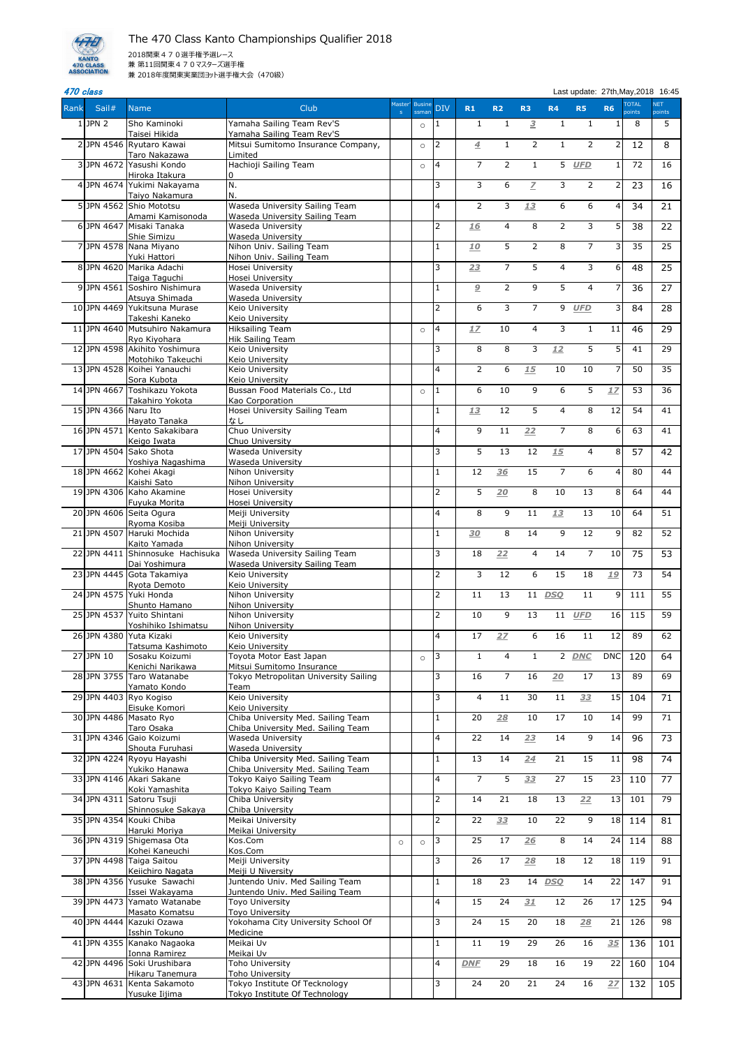And Class Last update: 27th, May, 2018 16:45

| Rank     | Sail#                | <b>Name</b>                                      | Club                                                                     |         | Master' Busine<br>ssman | <b>DIV</b>              | R1             | <b>R2</b>      | R <sub>3</sub>          | R <sub>4</sub> | <b>R5</b>      | <b>R6</b>               | <b>TOTAL</b><br>points | <b>NET</b><br>points |
|----------|----------------------|--------------------------------------------------|--------------------------------------------------------------------------|---------|-------------------------|-------------------------|----------------|----------------|-------------------------|----------------|----------------|-------------------------|------------------------|----------------------|
|          | $1$ JPN 2            | Sho Kaminoki<br>Taisei Hikida                    | Yamaha Sailing Team Rev'S<br>Yamaha Sailing Team Rev'S                   |         | $\circ$                 | $\mathbf{1}$            | $\mathbf{1}$   | 1              | $\overline{\mathbf{3}}$ | $\mathbf{1}$   | $\mathbf{1}$   | 1                       | 8                      | 5                    |
|          |                      | 2 JPN 4546 Ryutaro Kawai                         | Mitsui Sumitomo Insurance Company,                                       |         | $\circ$                 | $\overline{2}$          | $\overline{4}$ | $\mathbf{1}$   | $\overline{2}$          | $\mathbf{1}$   | 2              | 2                       | 12                     | 8                    |
|          |                      | Taro Nakazawa<br>3 JPN 4672 Yasushi Kondo        | Limited<br>Hachioji Sailing Team                                         |         | $\circ$                 | $\overline{4}$          | $\overline{7}$ | 2              | $\mathbf{1}$            |                | 5 UFD          | $\mathbf{1}$            | 72                     | 16                   |
|          |                      | Hiroka Itakura<br>4 JPN 4674 Yukimi Nakayama     | $\overline{0}$<br>N.                                                     |         |                         | 3                       | 3              | 6              | $\overline{Z}$          | 3              | $\overline{2}$ | 2                       | 23                     | 16                   |
|          |                      | Taiyo Nakamura<br>5JPN 4562 Shio Mototsu         | lN.<br>Waseda University Sailing Team                                    |         |                         | 4                       | $\overline{2}$ | 3              | 13                      | 6              | 6              | 4                       | 34                     | 21                   |
|          |                      | Amami Kamisonoda                                 | Waseda University Sailing Team                                           |         |                         |                         |                |                |                         |                |                |                         |                        |                      |
| $6 \mid$ |                      | JPN 4647 Misaki Tanaka<br>Shie Simizu            | Waseda University<br>Waseda University                                   |         |                         | $\overline{2}$          | 16             | 4              | 8                       | $\overline{2}$ | 3              | 5 <sup>1</sup>          | 38                     | 22                   |
|          |                      | 7JPN 4578 Nana Miyano<br>Yuki Hattori            | Nihon Univ. Sailing Team<br>Nihon Univ. Sailing Team                     |         |                         | $\mathbf{1}$            | <u>10</u>      | 5              | $\overline{2}$          | 8              | 7              | 3                       | 35                     | 25                   |
|          |                      | 8JPN 4620 Marika Adachi<br>Taiga Taguchi         | Hosei University<br>Hosei University                                     |         |                         | 3                       | 23             | $\overline{7}$ | 5                       | 4              | 3              | $6 \mid$                | 48                     | 25                   |
|          |                      | 9JPN 4561 Soshiro Nishimura                      | Waseda University                                                        |         |                         | $\mathbf{1}$            | $\overline{a}$ | $\overline{2}$ | 9                       | 5              | 4              | 7                       | 36                     | 27                   |
|          |                      | Atsuya Shimada<br>10 JPN 4469 Yukitsuna Murase   | Waseda University<br>Keio University                                     |         |                         | $\overline{2}$          | 6              | 3              | $\overline{7}$          | 9              | <b>UFD</b>     | $\overline{\mathsf{3}}$ | 84                     | 28                   |
|          |                      | Takeshi Kaneko<br>11 JPN 4640 Mutsuhiro Nakamura | Keio University<br><b>Hiksailing Team</b>                                |         | $\circ$                 | $\overline{4}$          | 17             | 10             | 4                       | 3              | $\mathbf{1}$   | 11                      | 46                     | 29                   |
|          |                      | Ryo Kiyohara<br>12 JPN 4598 Akihito Yoshimura    | Hik Sailing Team<br>Keio University                                      |         |                         | 3                       | 8              | 8              | 3                       | 12             | 5              | 5 <sup>1</sup>          | 41                     | $\overline{29}$      |
|          |                      | Motohiko Takeuchi                                | Keio University                                                          |         |                         |                         |                |                |                         |                |                |                         |                        |                      |
|          |                      | 13 JPN 4528 Koihei Yanauchi<br>Sora Kubota       | Keio University<br>Keio University                                       |         |                         | $\overline{\mathbf{4}}$ | $\overline{2}$ | 6              | 15                      | 10             | 10             | 7                       | 50                     | $\overline{35}$      |
|          | 14 JPN 4667          | Toshikazu Yokota<br>Takahiro Yokota              | Bussan Food Materials Co., Ltd<br>Kao Corporation                        |         | $\circ$                 | $\mathbf{1}$            | 6              | 10             | 9                       | 6              | 5              | 17                      | 53                     | 36                   |
|          | 15 JPN 4366 Naru Ito |                                                  | Hosei University Sailing Team<br>なし                                      |         |                         | $\mathbf{1}$            | 13             | 12             | 5                       | $\overline{4}$ | 8              | 12                      | 54                     | 41                   |
|          |                      | Hayato Tanaka<br>16JPN 4571 Kento Sakakibara     | Chuo University                                                          |         |                         | $\overline{4}$          | 9              | 11             | 22                      | $\overline{7}$ | 8              | 6                       | 63                     | 41                   |
|          |                      | Keigo Iwata<br>17JPN 4504 Sako Shota             | Chuo University<br>Waseda University                                     |         |                         | $\overline{3}$          | 5              | 13             | 12                      | 15             | 4              | 8 <sup>1</sup>          | 57                     | 42                   |
|          |                      | Yoshiya Nagashima<br>18 JPN 4662 Kohei Akagi     | Waseda University<br>Nihon University                                    |         |                         | $\mathbf{1}$            | 12             | 36             | 15                      | $\overline{7}$ | 6              | 4                       | 80                     | 44                   |
|          |                      | Kaishi Sato<br>19 JPN 4306 Kaho Akamine          | Nihon University<br>Hosei University                                     |         |                         | $\overline{2}$          | 5              | 20             | 8                       | 10             | 13             | $\bf{8}$                | 64                     | 44                   |
|          |                      | Fuyuka Morita                                    | Hosei University                                                         |         |                         |                         |                |                |                         |                |                |                         |                        |                      |
|          |                      | 20 JPN 4606 Seita Ogura<br>Ryoma Kosiba          | Meiji University<br>Meiji University                                     |         |                         | $\overline{4}$          | 8              | 9              | 11                      | 13             | 13             | 10                      | 64                     | 51                   |
|          |                      | 21 JPN 4507 Haruki Mochida<br>Kaito Yamada       | Nihon University<br>Nihon University                                     |         |                         | $\mathbf{1}$            | 30             | 8              | 14                      | 9              | 12             | $\overline{9}$          | 82                     | 52                   |
|          | 22 JPN 4411          | Shinnosuke Hachisuka<br>Dai Yoshimura            | Waseda University Sailing Team<br>Waseda University Sailing Team         |         |                         | 3                       | 18             | 22             | 4                       | 14             | $\overline{7}$ | 10                      | 75                     | 53                   |
|          |                      | 23 JPN 4445 Gota Takamiya                        | Keio University                                                          |         |                         | $\overline{2}$          | 3              | 12             | 6                       | 15             | 18             | 19                      | 73                     | 54                   |
|          |                      | Ryota Demoto<br>24 JPN 4575 Yuki Honda           | Keio University<br>Nihon University                                      |         |                         | $\overline{2}$          | 11             | 13             |                         | 11 DSO         | 11             | 9                       | 111                    | 55                   |
|          |                      | Shunto Hamano<br>25 JPN 4537 Yuito Shintani      | Nihon University<br>Nihon University                                     |         |                         | $\overline{2}$          | 10             | 9              | 13                      | 11             | <b>UFD</b>     | 16                      | 115                    | 59                   |
|          |                      | Yoshihiko Ishimatsu<br>26 JPN 4380 Yuta Kizaki   | Nihon University<br>Keio University                                      |         |                         | $\overline{4}$          | 17             | 27             | 6                       | 16             | 11             | 12                      | 89                     | 62                   |
|          | 27 JPN 10            | Tatsuma Kashimoto<br>Sosaku Koizumi              | Keio University<br>Toyota Motor East Japan                               |         |                         | $\overline{3}$          | $\mathbf{1}$   | $\overline{4}$ | $\mathbf{1}$            |                | 2 DNC          | <b>DNC</b>              | 120                    | 64                   |
|          |                      | Kenichi Narikawa                                 | Mitsui Sumitomo Insurance                                                |         | $\circ$                 |                         |                |                |                         |                |                |                         |                        |                      |
|          |                      | 28JPN 3755 Taro Watanabe<br>Yamato Kondo         | Tokyo Metropolitan University Sailing<br>Team                            |         |                         | 3                       | 16             | $\overline{7}$ | 16                      | 20             | 17             | 13                      | 89                     | 69                   |
|          |                      | 29 JPN 4403 Ryo Kogiso<br>Eisuke Komori          | Keio University<br>Keio University                                       |         |                         | 3                       | 4              | 11             | 30                      | 11             | 33             | 15                      | 104                    | 71                   |
|          |                      | 30 JPN 4486 Masato Ryo<br>Taro Osaka             | Chiba University Med. Sailing Team<br>Chiba University Med. Sailing Team |         |                         | $\mathbf{1}$            | 20             | 28             | 10                      | 17             | 10             | 14                      | 99                     | 71                   |
|          |                      | 31 JPN 4346 Gaio Koizumi                         | Waseda University                                                        |         |                         | $\overline{4}$          | 22             | 14             | 23                      | 14             | 9              | 14                      | 96                     | 73                   |
|          |                      | Shouta Furuhasi<br>32 JPN 4224 Ryoyu Hayashi     | Waseda University<br>Chiba University Med. Sailing Team                  |         |                         | $\mathbf{1}$            | 13             | 14             | 24                      | 21             | 15             | 11                      | 98                     | 74                   |
|          |                      | Yukiko Hanawa<br>33 JPN 4146 Akari Sakane        | Chiba University Med. Sailing Team<br>Tokyo Kaiyo Sailing Team           |         |                         | $\overline{4}$          | $\overline{7}$ | 5              | 33                      | 27             | 15             | 23                      | 110                    | 77                   |
|          |                      | Koki Yamashita<br>34 JPN 4311 Satoru Tsuji       | Tokyo Kaiyo Sailing Team<br>Chiba University                             |         |                         | $\overline{2}$          | 14             | 21             | 18                      | 13             | 22             | 13                      | 101                    | $\overline{79}$      |
|          |                      | Shinnosuke Sakaya                                | Chiba University                                                         |         |                         |                         |                |                |                         |                |                |                         |                        |                      |
|          |                      | 35 JPN 4354 Kouki Chiba<br>Haruki Moriya         | Meikai University<br>Meikai University                                   |         |                         | $\overline{2}$          | 22             | 33             | 10                      | 22             | 9              | 18                      | 114                    | 81                   |
|          |                      | 36JPN 4319 Shigemasa Ota<br>Kohei Kaneuchi       | Kos.Com<br>Kos.Com                                                       | $\circ$ | $\circ$                 | $\overline{3}$          | 25             | 17             | 26                      | 8              | 14             | 24                      | 114                    | 88                   |
|          |                      | 37 JPN 4498 Taiga Saitou<br>Keiichiro Nagata     | Meiji University<br>Meiji U Niversity                                    |         |                         | 3                       | 26             | 17             | 28                      | 18             | 12             | 18                      | 119                    | 91                   |
|          |                      | 38 JPN 4356 Yusuke Sawachi                       | Juntendo Univ. Med Sailing Team                                          |         |                         | $\mathbf 1$             | 18             | 23             |                         | $14$ DSO       | 14             | 22                      | 147                    | 91                   |
|          | 39 JPN 4473          | Issei Wakayama<br>Yamato Watanabe                | Juntendo Univ. Med Sailing Team<br>Toyo University                       |         |                         | 4                       | 15             | 24             | 31                      | 12             | 26             | 17                      | 125                    | 94                   |
|          |                      | Masato Komatsu<br>40 JPN 4444 Kazuki Ozawa       | Toyo University<br>Yokohama City University School Of                    |         |                         | 3                       | 24             | 15             | 20                      | 18             | 28             | 21                      | 126                    | 98                   |
|          |                      | Isshin Tokuno<br>41 JPN 4355 Kanako Nagaoka      | Medicine<br>Meikai Uv                                                    |         |                         | $\mathbf{1}$            | 11             | 19             | 29                      | 26             | 16             | 35                      | 136                    | 101                  |
|          |                      | Ionna Ramirez<br>42 JPN 4496 Soki Urushibara     | Meikai Uv                                                                |         |                         | 4                       | <b>DNF</b>     | 29             | 18                      | 16             | 19             | 22                      |                        |                      |
|          |                      | Hikaru Tanemura                                  | Toho University<br>Toho University                                       |         |                         |                         |                |                |                         |                |                |                         | 160                    | 104                  |
|          |                      | 43JPN 4631 Kenta Sakamoto<br>Yusuke Iijima       | Tokyo Institute Of Tecknology<br>Tokyo Institute Of Technology           |         |                         | 3                       | 24             | 20             | 21                      | 24             | 16             | 27                      | 132                    | 105                  |



The 470 Class Kanto Championships Qualifier 2018 2018関東470選手権予選レース 兼 第11回関東470マスターズ選手権

兼 2018年度関東実業団ヨット選手権大会(470級)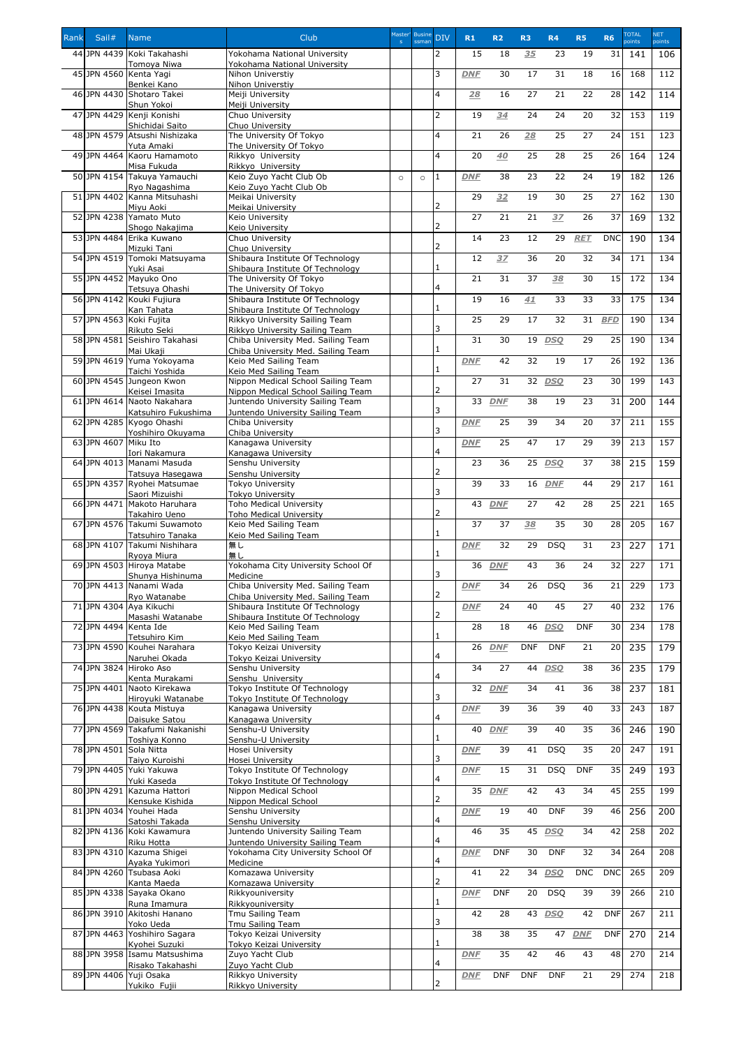| Rank | Sail#                 | <b>Name</b>                                       | Club                                                                   | Master' | <b>Busine</b> | <b>DIV</b>     | R1         | R <sub>2</sub> | R <sub>3</sub> | R <sub>4</sub> | <b>R5</b>  | <b>R6</b>  | <b>TOTAL</b> | <b>NET</b> |
|------|-----------------------|---------------------------------------------------|------------------------------------------------------------------------|---------|---------------|----------------|------------|----------------|----------------|----------------|------------|------------|--------------|------------|
|      |                       |                                                   |                                                                        |         | ssman         |                |            |                |                |                |            |            | points       | points     |
|      |                       | 44 JPN 4439 Koki Takahashi<br>Tomoya Niwa         | Yokohama National University<br>Yokohama National University           |         |               | $\overline{2}$ | 15         | 18             | 35             | 23             | 19         | 31         | 141          | 106        |
|      |                       | 45 JPN 4560 Kenta Yagi                            | Nihon Universtiy                                                       |         |               | 3              | <b>DNF</b> | 30             | 17             | 31             | 18         | 16         | 168          | 112        |
|      |                       | Benkei Kano                                       | Nihon Universtiy                                                       |         |               |                |            |                |                |                |            |            |              |            |
|      |                       | 46 JPN 4430 Shotaro Takei<br>Shun Yokoi           | Meiji University<br>Meiji University                                   |         |               | $\overline{4}$ | 28         | 16             | 27             | 21             | 22         | 28         | 142          | 114        |
|      |                       | 47 JPN 4429 Kenji Konishi                         | Chuo University                                                        |         |               | $\overline{2}$ | 19         | 34             | 24             | 24             | 20         | 32         | 153          | 119        |
|      |                       | Shichidai Saito                                   | Chuo University                                                        |         |               |                |            |                |                |                |            |            |              |            |
|      |                       | 48 JPN 4579 Atsushi Nishizaka<br>Yuta Amaki       | The University Of Tokyo<br>The University Of Tokyo                     |         |               | $\overline{4}$ | 21         | 26             | 28             | 25             | 27         | 24         | 151          | 123        |
|      |                       | 49 JPN 4464 Kaoru Hamamoto                        | Rikkyo University                                                      |         |               | $\overline{4}$ | 20         | 40             | 25             | 28             | 25         | 26         | 164          | 124        |
|      |                       | Misa Fukuda<br>50 JPN 4154 Takuya Yamauchi        | Rikkyo University<br>Keio Zuyo Yacht Club Ob                           |         |               | 1              | <b>DNF</b> | 38             | 23             | 22             | 24         | 19         | 182          | 126        |
|      |                       | Ryo Nagashima                                     | Keio Zuyo Yacht Club Ob                                                | $\circ$ | $\circ$       |                |            |                |                |                |            |            |              |            |
|      |                       | 51 JPN 4402 Kanna Mitsuhashi                      | Meikai University                                                      |         |               |                | 29         | 32             | 19             | 30             | 25         | 27         | 162          | 130        |
|      |                       | Miyu Aoki<br>52JPN 4238 Yamato Muto               | Meikai University<br>Keio University                                   |         |               | 2              | 27         | 21             | 21             | 3Z             | 26         | 37         | 169          | 132        |
|      |                       | Shogo Nakajima                                    | Keio University                                                        |         |               | 2              |            |                |                |                |            |            |              |            |
|      |                       | 53 JPN 4484 Erika Kuwano                          | Chuo University                                                        |         |               | 2              | 14         | 23             | 12             | 29             | <b>RET</b> | <b>DNC</b> | 190          | 134        |
|      |                       | Mizuki Tani<br>54 JPN 4519 Tomoki Matsuyama       | Chuo University<br>Shibaura Institute Of Technology                    |         |               |                | 12         | 3Z             | 36             | 20             | 32         | 34         | 171          | 134        |
|      |                       | Yuki Asai                                         | Shibaura Institute Of Technology                                       |         |               |                |            |                |                |                |            |            |              |            |
|      |                       | 55 JPN 4452 Mayuko Ono                            | The University Of Tokyo                                                |         |               | 4              | 21         | 31             | 37             | 38             | 30         | 15         | 172          | 134        |
|      |                       | Tetsuya Ohashi<br>56 JPN 4142 Kouki Fujiura       | The University Of Tokyo<br>Shibaura Institute Of Technology            |         |               |                | 19         | 16             | 41             | 33             | 33         | 33         | 175          | 134        |
|      |                       | Kan Tahata                                        | Shibaura Institute Of Technology                                       |         |               |                |            |                |                |                |            |            |              |            |
|      |                       | 57 JPN 4563 Koki Fujita<br>Rikuto Seki            | Rikkyo University Sailing Team<br>Rikkyo University Sailing Team       |         |               | 3              | 25         | 29             | 17             | 32             | 31         | <b>BFD</b> | 190          | 134        |
|      |                       | 58 JPN 4581 Seishiro Takahasi                     | Chiba University Med. Sailing Team                                     |         |               |                | 31         | 30             | 19             | <b>DSO</b>     | 29         | 25         | 190          | 134        |
|      |                       | Mai Ukaji                                         | Chiba University Med. Sailing Team                                     |         |               | 1              |            |                |                |                |            |            |              |            |
|      |                       | 59 JPN 4619 Yuma Yokoyama<br>Taichi Yoshida       | Keio Med Sailing Team<br>Keio Med Sailing Team                         |         |               | 1              | <b>DNF</b> | 42             | 32             | 19             | 17         | 26         | 192          | 136        |
|      |                       | 60 JPN 4545 Jungeon Kwon                          | Nippon Medical School Sailing Team                                     |         |               |                | 27         | 31             |                | 32 <i>DSQ</i>  | 23         | 30         | 199          | 143        |
|      |                       | Keisei Imasita                                    | Nippon Medical School Sailing Team                                     |         |               | 2              |            |                |                |                |            |            |              |            |
|      |                       | 61 JPN 4614 Naoto Nakahara<br>Katsuhiro Fukushima | Juntendo University Sailing Team<br>Juntendo University Sailing Team   |         |               | 3              | 33         | <b>DNF</b>     | 38             | 19             | 23         | 31         | 200          | 144        |
|      |                       | 62 JPN 4285 Kyogo Ohashi                          | Chiba University                                                       |         |               |                | <b>DNF</b> | 25             | 39             | 34             | 20         | 37         | 211          | 155        |
|      |                       | Yoshihiro Okuyama                                 | Chiba University                                                       |         |               | 3              |            |                |                |                |            |            |              |            |
|      | 63 JPN 4607 Miku Ito  | Iori Nakamura                                     | Kanagawa University<br>Kanagawa University                             |         |               | 4              | <b>DNF</b> | 25             | 47             | 17             | 29         | 39         | 213          | 157        |
|      |                       | 64 JPN 4013 Manami Masuda                         | Senshu University                                                      |         |               |                | 23         | 36             |                | 25 DSO         | 37         | 38         | 215          | 159        |
|      |                       | Tatsuya Hasegawa                                  | Senshu University                                                      |         |               | 2              | 39         |                | 16             |                |            | 29         | 217          | 161        |
|      |                       | 65 JPN 4357 Ryohei Matsumae<br>Saori Mizuishi     | Tokyo University<br><b>Tokyo University</b>                            |         |               | 3              |            | 33             |                | <b>DNF</b>     | 44         |            |              |            |
|      | 66 JPN 4471           | Makoto Haruhara                                   | <b>Toho Medical University</b>                                         |         |               |                | 43         | <b>DNF</b>     | 27             | 42             | 28         | 25         | 221          | 165        |
|      |                       | Takahiro Ueno<br>67 JPN 4576 Takumi Suwamoto      | <b>Toho Medical University</b><br>Keio Med Sailing Team                |         |               | 2              | 37         | 37             | 38             | 35             | 30         | 28         | 205          | 167        |
|      |                       | Tatsuhiro Tanaka                                  | Keio Med Sailing Team                                                  |         |               | 1              |            |                |                |                |            |            |              |            |
|      |                       | 68JPN 4107 Takumi Nishihara                       | 無し                                                                     |         |               |                | <b>DNF</b> | 32             | 29             | <b>DSQ</b>     | 31         | 23         | 227          | 171        |
|      |                       | Ryoya Miura<br>69 JPN 4503 Hiroya Matabe          | 無し<br>Yokohama City University School Of                               |         |               |                | 36         | <b>DNF</b>     | 43             | 36             | 24         | 32         | 227          | 171        |
|      |                       | Shunya Hishinuma                                  | Medicine                                                               |         |               | 3              |            |                |                |                |            |            |              |            |
|      |                       | 70 JPN 4413 Nanami Wada                           | Chiba University Med. Sailing Team                                     |         |               | 2              | <b>DNF</b> | 34             | 26             | <b>DSQ</b>     | 36         | 21         | 229          | 173        |
|      |                       | Ryo Watanabe<br>71 JPN 4304 Aya Kikuchi           | Chiba University Med. Sailing Team<br>Shibaura Institute Of Technology |         |               |                | <b>DNF</b> | 24             | 40             | 45             | 27         | 40         | 232          | 176        |
|      |                       | Masashi Watanabe                                  | Shibaura Institute Of Technology                                       |         |               | 2              |            |                |                |                |            |            |              |            |
|      | 72 JPN 4494 Kenta Ide | Tetsuhiro Kim                                     | Keio Med Sailing Team<br>Keio Med Sailing Team                         |         |               |                | 28         | 18             |                | 46 DSQ         | <b>DNF</b> | 30         | 234          | 178        |
|      |                       | 73 JPN 4590 Kouhei Narahara                       | Tokyo Keizai University                                                |         |               |                | 26         | <b>DNF</b>     | <b>DNF</b>     | <b>DNF</b>     | 21         | 20         | 235          | 179        |
|      |                       | Naruhei Okada                                     | Tokyo Keizai University                                                |         |               | 4              |            |                |                |                |            |            |              |            |
|      |                       | 74 JPN 3824 Hiroko Aso<br>Kenta Murakami          | Senshu University<br>Senshu University                                 |         |               | 4              | 34         | 27             | 44             | <b>DSO</b>     | 38         | 36         | 235          | 179        |
|      |                       | 75 JPN 4401 Naoto Kirekawa                        | Tokyo Institute Of Technology                                          |         |               |                | 32         | <b>DNF</b>     | 34             | 41             | 36         | 38         | 237          | 181        |
|      |                       | Hiroyuki Watanabe                                 | Tokyo Institute Of Technology                                          |         |               | 3              |            |                |                |                |            |            |              |            |
|      |                       | 76 JPN 4438 Kouta Mistuya<br>Daisuke Satou        | Kanagawa University<br>Kanagawa University                             |         |               | 4              | <b>DNF</b> | 39             | 36             | 39             | 40         | 33         | 243          | 187        |
|      |                       | 77 JPN 4569 Takafumi Nakanishi                    | Senshu-U University                                                    |         |               |                | 40         | <b>DNF</b>     | 39             | 40             | 35         | 36         | 246          | 190        |
|      |                       | Toshiya Konno<br>78 JPN 4501 Sola Nitta           | Senshu-U University<br>Hosei University                                |         |               |                | <b>DNF</b> | 39             | 41             | DSQ            | 35         | 20         | 247          | 191        |
|      |                       | Taiyo Kuroishi                                    | Hosei University                                                       |         |               | 3              |            |                |                |                |            |            |              |            |
|      |                       | 79 JPN 4405 Yuki Yakuwa                           | Tokyo Institute Of Technology                                          |         |               |                | <b>DNF</b> | 15             | 31             | <b>DSQ</b>     | <b>DNF</b> | 35         | 249          | 193        |
|      |                       | Yuki Kaseda<br>80 JPN 4291 Kazuma Hattori         | Tokyo Institute Of Technology<br>Nippon Medical School                 |         |               | 4              | 35         | <b>DNF</b>     | 42             | 43             | 34         | 45         | 255          | 199        |
|      |                       | Kensuke Kishida                                   | Nippon Medical School                                                  |         |               | 2              |            |                |                |                |            |            |              |            |
|      |                       | 81 JPN 4034 Youhei Hada                           | Senshu University                                                      |         |               | $\overline{4}$ | <b>DNF</b> | 19             | 40             | <b>DNF</b>     | 39         | 46         | 256          | 200        |
|      |                       | Satoshi Takada<br>82 JPN 4136 Koki Kawamura       | Senshu University<br>Juntendo University Sailing Team                  |         |               |                | 46         | 35             |                | 45 DSQ         | 34         | 42         | 258          | 202        |
|      |                       | Riku Hotta                                        | Juntendo University Sailing Team                                       |         |               | 4              |            |                |                |                |            |            |              |            |
|      |                       | 83 JPN 4310 Kazuma Shigei<br>Ayaka Yukimori       | Yokohama City University School Of<br>Medicine                         |         |               | 4              | <b>DNF</b> | <b>DNF</b>     | 30             | <b>DNF</b>     | 32         | 34         | 264          | 208        |
|      |                       | 84 JPN 4260 Tsubasa Aoki                          | Komazawa University                                                    |         |               |                | 41         | 22             |                | 34 DSO         | <b>DNC</b> | <b>DNC</b> | 265          | 209        |
|      |                       | Kanta Maeda                                       | Komazawa University                                                    |         |               | 2              |            |                |                |                |            |            |              |            |
|      |                       | 85 JPN 4338 Sayaka Okano<br>Runa Imamura          | Rikkyouniversity<br>Rikkyouniversity                                   |         |               |                | <b>DNF</b> | <b>DNF</b>     | 20             | <b>DSQ</b>     | 39         | 39         | 266          | 210        |
|      |                       | 86 JPN 3910 Akitoshi Hanano                       | Tmu Sailing Team                                                       |         |               |                | 42         | 28             |                | 43 DSO         | 42         | <b>DNF</b> | 267          | 211        |
|      |                       | Yoko Ueda                                         | Tmu Sailing Team                                                       |         |               | 3              |            |                |                |                |            |            |              |            |
|      |                       | 87 JPN 4463 Yoshihiro Sagara<br>Kyohei Suzuki     | Tokyo Keizai University<br><b>Tokyo Keizai University</b>              |         |               | 1              | 38         | 38             | 35             | 47             | <b>DNF</b> | <b>DNF</b> | 270          | 214        |
|      |                       | 88 JPN 3958 Isamu Matsushima                      | Zuyo Yacht Club                                                        |         |               |                | <b>DNF</b> | 35             | 42             | 46             | 43         | 48         | 270          | 214        |
|      |                       | Risako Takahashi                                  | Zuyo Yacht Club                                                        |         |               | 4              |            |                |                |                |            |            |              |            |
|      |                       | 89 JPN 4406 Yuji Osaka<br>Yukiko Fujii            | Rikkyo University<br>Rikkyo University                                 |         |               | 2              | <b>DNF</b> | <b>DNF</b>     | <b>DNF</b>     | <b>DNF</b>     | 21         | 29         | 274          | 218        |